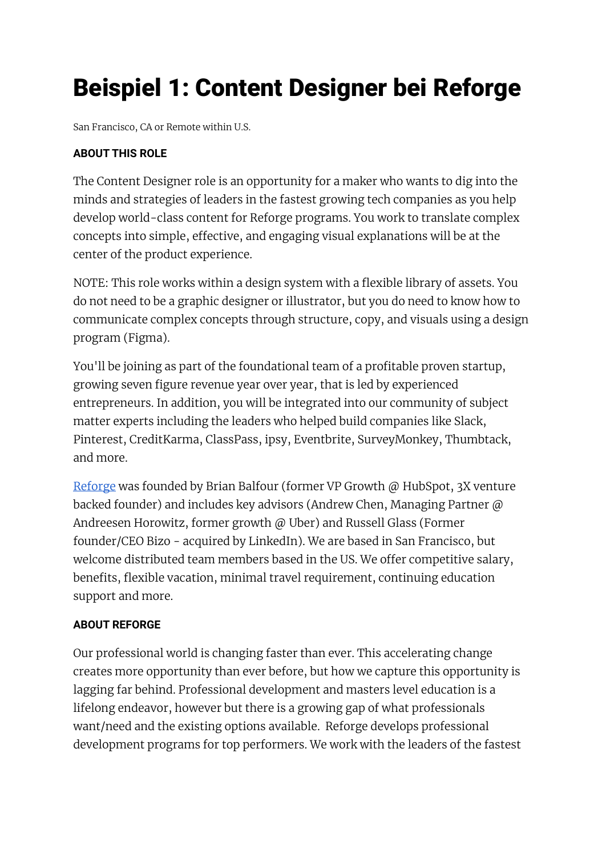# Beispiel 1: Content Designer bei Reforge

San Francisco, CA or Remote within U.S.

# **ABOUT THIS ROLE**

The Content Designer role is an opportunity for a maker who wants to dig into the minds and strategies of leaders in the fastest growing tech companies as you help develop world-class content for Reforge programs. You work to translate complex concepts into simple, effective, and engaging visual explanations will be at the center of the product experience.

NOTE: This role works within a design system with a flexible library of assets. You do not need to be a graphic designer or illustrator, but you do need to know how to communicate complex concepts through structure, copy, and visuals using a design program (Figma).

You'll be joining as part of the foundational team of a profitable proven startup, growing seven figure revenue year over year, that is led by experienced entrepreneurs. In addition, you will be integrated into our community of subject matter experts including the leaders who helped build companies like Slack, Pinterest, CreditKarma, ClassPass, ipsy, Eventbrite, SurveyMonkey, Thumbtack, and more.

[Reforge](https://www.reforge.com/) was founded by Brian Balfour (former VP Growth @ HubSpot, 3X venture backed founder) and includes key advisors (Andrew Chen, Managing Partner @ Andreesen Horowitz, former growth @ Uber) and Russell Glass (Former founder/CEO Bizo - acquired by LinkedIn). We are based in San Francisco, but welcome distributed team members based in the US. We offer competitive salary, benefits, flexible vacation, minimal travel requirement, continuing education support and more.

## **ABOUT REFORGE**

Our professional world is changing faster than ever. This accelerating change creates more opportunity than ever before, but how we capture this opportunity is lagging far behind. Professional development and masters level education is a lifelong endeavor, however but there is a growing gap of what professionals want/need and the existing options available. Reforge develops professional development programs for top performers. We work with the leaders of the fastest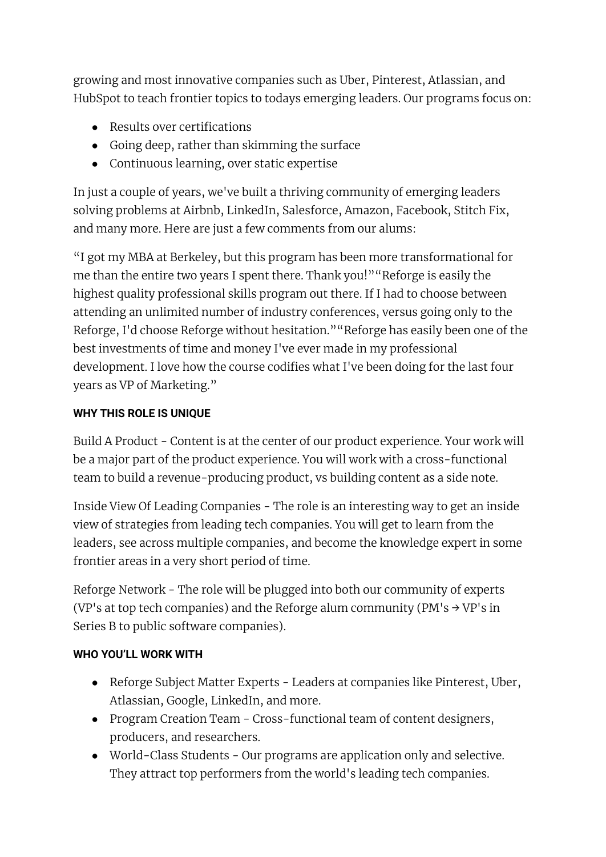growing and most innovative companies such as Uber, Pinterest, Atlassian, and HubSpot to teach frontier topics to todays emerging leaders. Our programs focus on:

- Results over certifications
- Going deep, rather than skimming the surface
- Continuous learning, over static expertise

In just a couple of years, we've built a thriving community of emerging leaders solving problems at Airbnb, LinkedIn, Salesforce, Amazon, Facebook, Stitch Fix, and many more. Here are just a few comments from our alums:

"I got my MBA at Berkeley, but this program has been more transformational for me than the entire two years I spent there. Thank you!""Reforge is easily the highest quality professional skills program out there. If I had to choose between attending an unlimited number of industry conferences, versus going only to the Reforge, I'd choose Reforge without hesitation.""Reforge has easily been one of the best investments of time and money I've ever made in my professional development. I love how the course codifies what I've been doing for the last four years as VP of Marketing."

# **WHY THIS ROLE IS UNIQUE**

Build A Product - Content is at the center of our product experience. Your work will be a major part of the product experience. You will work with a cross-functional team to build a revenue-producing product, vs building content as a side note.

Inside View Of Leading Companies - The role is an interesting way to get an inside view of strategies from leading tech companies. You will get to learn from the leaders, see across multiple companies, and become the knowledge expert in some frontier areas in a very short period of time.

Reforge Network - The role will be plugged into both our community of experts (VP's at top tech companies) and the Reforge alum community (PM's  $\rightarrow$  VP's in Series B to public software companies).

# **WHO YOU'LL WORK WITH**

- Reforge Subject Matter Experts Leaders at companies like Pinterest, Uber, Atlassian, Google, LinkedIn, and more.
- Program Creation Team Cross-functional team of content designers, producers, and researchers.
- World-Class Students Our programs are application only and selective. They attract top performers from the world's leading tech companies.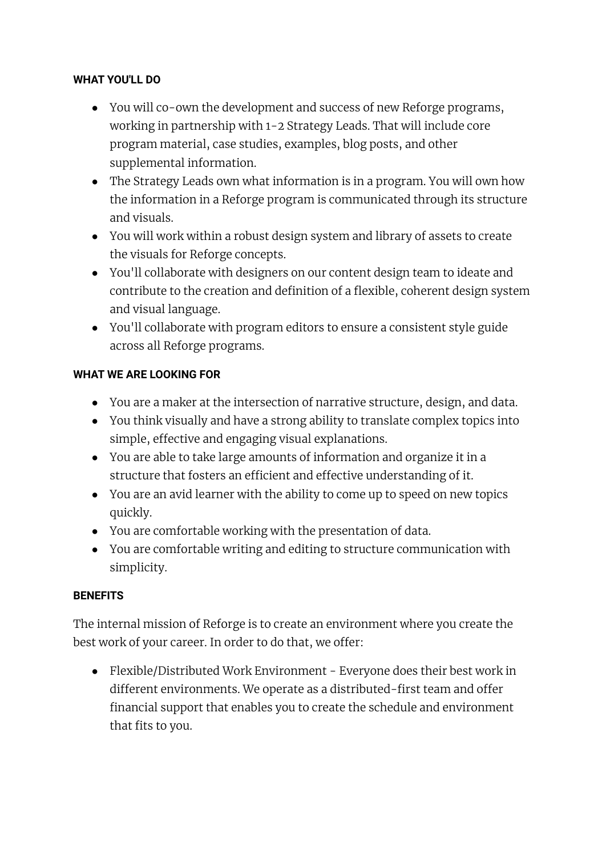#### **WHAT YOU'LL DO**

- You will co-own the development and success of new Reforge programs, working in partnership with 1-2 Strategy Leads. That will include core program material, case studies, examples, blog posts, and other supplemental information.
- The Strategy Leads own what information is in a program. You will own how the information in a Reforge program is communicated through its structure and visuals.
- You will work within a robust design system and library of assets to create the visuals for Reforge concepts.
- You'll collaborate with designers on our content design team to ideate and contribute to the creation and definition of a flexible, coherent design system and visual language.
- You'll collaborate with program editors to ensure a consistent style guide across all Reforge programs.

## **WHAT WE ARE LOOKING FOR**

- You are a maker at the intersection of narrative structure, design, and data.
- You think visually and have a strong ability to translate complex topics into simple, effective and engaging visual explanations.
- You are able to take large amounts of information and organize it in a structure that fosters an efficient and effective understanding of it.
- You are an avid learner with the ability to come up to speed on new topics quickly.
- You are comfortable working with the presentation of data.
- You are comfortable writing and editing to structure communication with simplicity.

## **BENEFITS**

The internal mission of Reforge is to create an environment where you create the best work of your career. In order to do that, we offer:

● Flexible/Distributed Work Environment - Everyone does their best work in different environments. We operate as a distributed-first team and offer financial support that enables you to create the schedule and environment that fits to you.